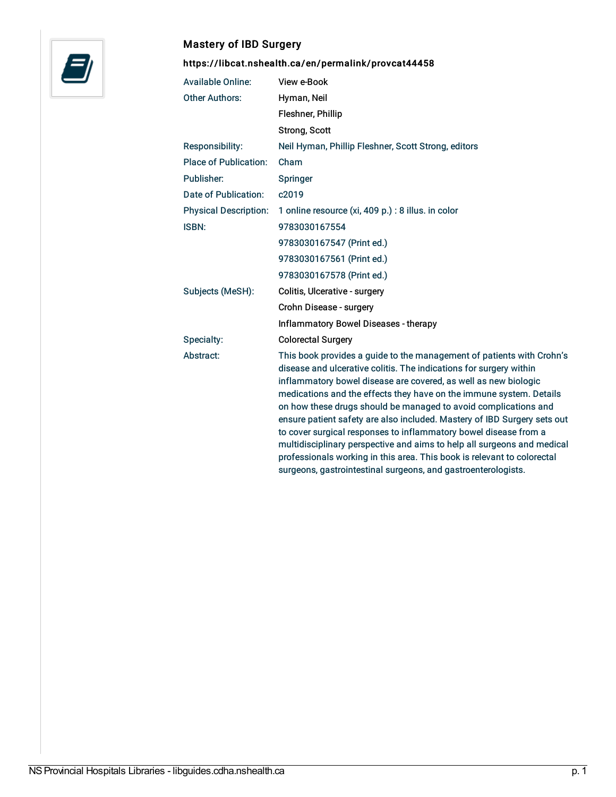

## Mastery of IBD Surgery

<https://libcat.nshealth.ca/en/permalink/provcat44458>

| <b>Available Online:</b>     | View e-Book                                                                                                                                                                                                                                                                                                                                                                                                                                                                                                                                                                                                                                                                                                                     |
|------------------------------|---------------------------------------------------------------------------------------------------------------------------------------------------------------------------------------------------------------------------------------------------------------------------------------------------------------------------------------------------------------------------------------------------------------------------------------------------------------------------------------------------------------------------------------------------------------------------------------------------------------------------------------------------------------------------------------------------------------------------------|
| <b>Other Authors:</b>        | Hyman, Neil                                                                                                                                                                                                                                                                                                                                                                                                                                                                                                                                                                                                                                                                                                                     |
|                              | Fleshner, Phillip                                                                                                                                                                                                                                                                                                                                                                                                                                                                                                                                                                                                                                                                                                               |
|                              | Strong, Scott                                                                                                                                                                                                                                                                                                                                                                                                                                                                                                                                                                                                                                                                                                                   |
| Responsibility:              | Neil Hyman, Phillip Fleshner, Scott Strong, editors                                                                                                                                                                                                                                                                                                                                                                                                                                                                                                                                                                                                                                                                             |
| Place of Publication:        | Cham                                                                                                                                                                                                                                                                                                                                                                                                                                                                                                                                                                                                                                                                                                                            |
| Publisher:                   | Springer                                                                                                                                                                                                                                                                                                                                                                                                                                                                                                                                                                                                                                                                                                                        |
| Date of Publication:         | c2019                                                                                                                                                                                                                                                                                                                                                                                                                                                                                                                                                                                                                                                                                                                           |
| <b>Physical Description:</b> | 1 online resource (xi, 409 p.) : 8 illus. in color                                                                                                                                                                                                                                                                                                                                                                                                                                                                                                                                                                                                                                                                              |
| <b>ISBN:</b>                 | 9783030167554                                                                                                                                                                                                                                                                                                                                                                                                                                                                                                                                                                                                                                                                                                                   |
|                              | 9783030167547 (Print ed.)                                                                                                                                                                                                                                                                                                                                                                                                                                                                                                                                                                                                                                                                                                       |
|                              | 9783030167561 (Print ed.)                                                                                                                                                                                                                                                                                                                                                                                                                                                                                                                                                                                                                                                                                                       |
|                              | 9783030167578 (Print ed.)                                                                                                                                                                                                                                                                                                                                                                                                                                                                                                                                                                                                                                                                                                       |
| Subjects (MeSH):             | Colitis, Ulcerative - surgery                                                                                                                                                                                                                                                                                                                                                                                                                                                                                                                                                                                                                                                                                                   |
|                              | Crohn Disease - surgery                                                                                                                                                                                                                                                                                                                                                                                                                                                                                                                                                                                                                                                                                                         |
|                              | Inflammatory Bowel Diseases - therapy                                                                                                                                                                                                                                                                                                                                                                                                                                                                                                                                                                                                                                                                                           |
| Specialty:                   | <b>Colorectal Surgery</b>                                                                                                                                                                                                                                                                                                                                                                                                                                                                                                                                                                                                                                                                                                       |
| Abstract:                    | This book provides a guide to the management of patients with Crohn's<br>disease and ulcerative colitis. The indications for surgery within<br>inflammatory bowel disease are covered, as well as new biologic<br>medications and the effects they have on the immune system. Details<br>on how these drugs should be managed to avoid complications and<br>ensure patient safety are also included. Mastery of IBD Surgery sets out<br>to cover surgical responses to inflammatory bowel disease from a<br>multidisciplinary perspective and aims to help all surgeons and medical<br>professionals working in this area. This book is relevant to colorectal<br>surgeons, gastrointestinal surgeons, and gastroenterologists. |